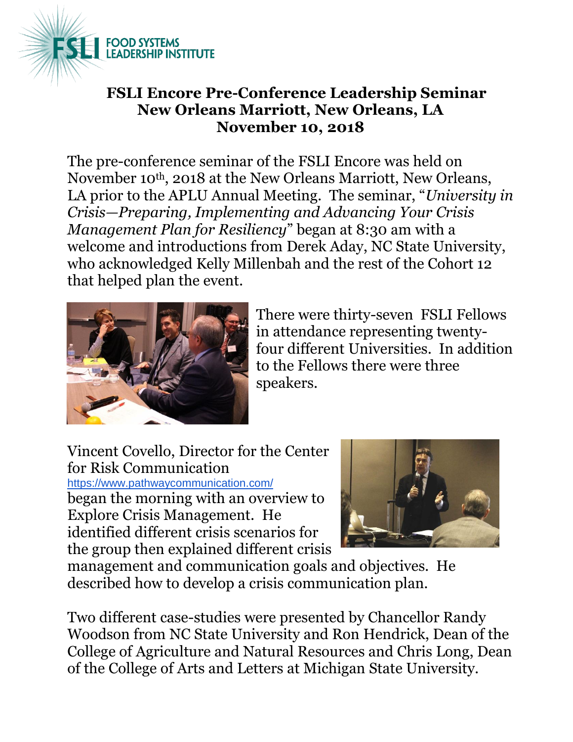

## **FSLI Encore Pre-Conference Leadership Seminar New Orleans Marriott, New Orleans, LA November 10, 2018**

The pre-conference seminar of the FSLI Encore was held on November 10th, 2018 at the New Orleans Marriott, New Orleans, LA prior to the APLU Annual Meeting. The seminar, "*University in Crisis—Preparing, Implementing and Advancing Your Crisis Management Plan for Resiliency*" began at 8:30 am with a welcome and introductions from Derek Aday, NC State University, who acknowledged Kelly Millenbah and the rest of the Cohort 12 that helped plan the event.



There were thirty-seven FSLI Fellows in attendance representing twentyfour different Universities. In addition to the Fellows there were three speakers.

Vincent Covello, Director for the Center for Risk Communication <https://www.pathwaycommunication.com/> began the morning with an overview to

Explore Crisis Management. He identified different crisis scenarios for the group then explained different crisis



management and communication goals and objectives. He described how to develop a crisis communication plan.

Two different case-studies were presented by Chancellor Randy Woodson from NC State University and Ron Hendrick, Dean of the College of Agriculture and Natural Resources and Chris Long, Dean of the College of Arts and Letters at Michigan State University.